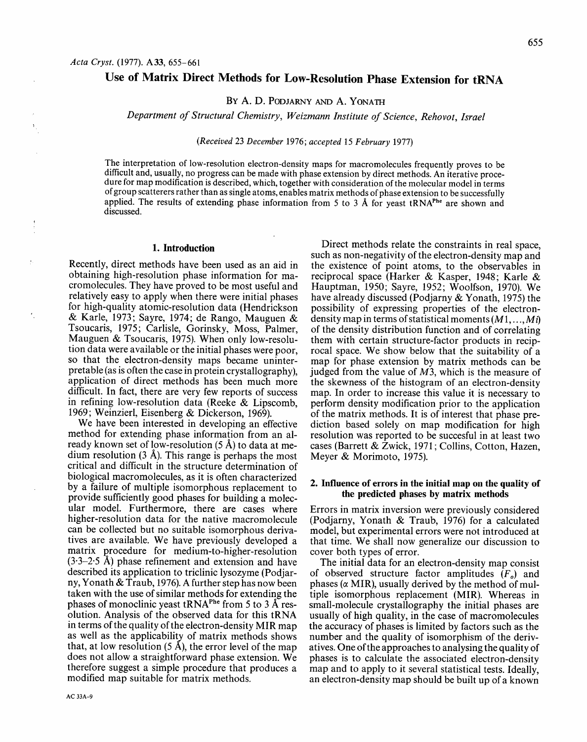## **Use of Matrix Direct Methods for Low-Resolution Phase Extension for** tRNA

BY A. D. PODJARNY AND A. YONATH

*Department of Structural Chemistry, Weizmann Institute of Science, Rehovot, Israel* 

*(Received* 23 *December* 1976; *accepted 15 February* 1977)

The interpretation of low-resolution electron-density maps for macromolecules frequently proves to be difficult and, usually, no progress can be made with phase extension by direct methods. An iterative procedure for map modification is described, which, together with consideration of the molecular model in terms of group scatterers rather than as single atoms, enables matrix methods of phase extension to be successfully applied. The results of extending phase information from 5 to 3 Å for yeast tRNA<sup>Phe</sup> are shown and discussed.

## **1. Introduction**

Recently, direct methods have been used as an aid in obtaining high-resolution phase information for macromolecules. They have proved to be most useful and relatively easy to apply when there were initial phases for high-quality atomic-resolution data (Hendrickson & Karle, 1973; Sayre, 1974; de Rango, Mauguen & Tsoucaris, 1975; Carlisle, Gorinsky, Moss, Palmer, Mauguen & Tsoucaris, 1975). When only low-resolution data were available or the initial phases were poor, so that the electron-density maps became uninterpretable (as is often the case in protein crystallography), application of direct methods has been much more difficult. In fact, there are very few reports of success in refining low-resolution data (Reeke & Lipscomb, 1969; Weinzierl, Eisenberg & Dickerson, 1969).

We have been interested in developing an effective method for extending phase information from an already known set of low-resolution (5 A) to data at medium resolution (3 A). This range is perhaps the most critical and difficult in the structure determination of biological macromolecules, as it is often characterized by a failure of multiple isomorphous replacement to provide sufficiently good phases for building a molecular model. Furthermore, there are cases where higher-resolution data for the native macromolecule can be collected but no suitable isomorphous derivatives are available. We have previously developed a matrix procedure for medium-to-higher-resolution  $(3.3-2.5 \text{ Å})$  phase refinement and extension and have described its application to triclinic lysozyme (Podjarny, Yonath & Traub, 1976). A further step has now been taken with the use of similar methods for extending the phases of monoclinic yeast tRNA<sup>Phe</sup> from 5 to 3 Å resolution. Analysis of the observed data for this tRNA in terms of the quality of the electron-density MIR map as well as the applicability of matrix methods shows that, at low resolution  $(5 \text{ Å})$ , the error level of the map does not allow a straightforward phase extension. We therefore suggest a simple procedure that produces a modified map suitable for matrix methods.

Direct methods relate the constraints in real space, such as non-negativity of the electron-density map and the existence of point atoms, to the observables in reciprocal space (Harker & Kasper, 1948; Karle & Hauptman, 1950; Sayre, 1952; Woolfson, 1970). We have already discussed (Podjarny & Yonath, 1975) the possibility of expressing properties of the electrondensity map in terms of statistical moments (M 1, ..., *Mi)*  of the density distribution function and of correlating them with certain structure-factor products in reciprocal space. We show below that the suitability of a map for phase extension by matrix methods can be judged from the value of  $M3$ , which is the measure of the skewness of the histogram of an electron-density map. In order to increase this value it is necessary to perform density modification prior to the application of the matrix methods. It is of interest that phase prediction based solely on map modification for high resolution was reported to be succesful in at least two cases (Barrett & Zwick, 1971 ; Collins, Cotton, Hazen, Meyer & Morimoto, 1975).

#### **2. Influence of errors in the initial map on the quality of the predicted phases by matrix methods**

Errors in matrix inversion were previously considered (Podjarny, Yonath & Traub, 1976) for a calculated model, but experimental errors were not introduced at that time. We shall now generalize our discussion to cover both types of error.

The initial data for an electron-density map consist of observed structure factor amplitudes *(Fo)* and phases ( $\alpha$  MIR), usually derived by the method of multiple isomorphous replacement (MIR). Whereas in small-molecule crystallography the initial phases are usually of high quality, in the case of macromolecules the accuracy of phases is limited by factors such as the number and the quality of isomorphism of the derivatives. One of the approaches to analysing the quality of phases is to calculate the associated electron-density map and to apply to it several statistical tests. Ideally, an electron-density map should be built up of a known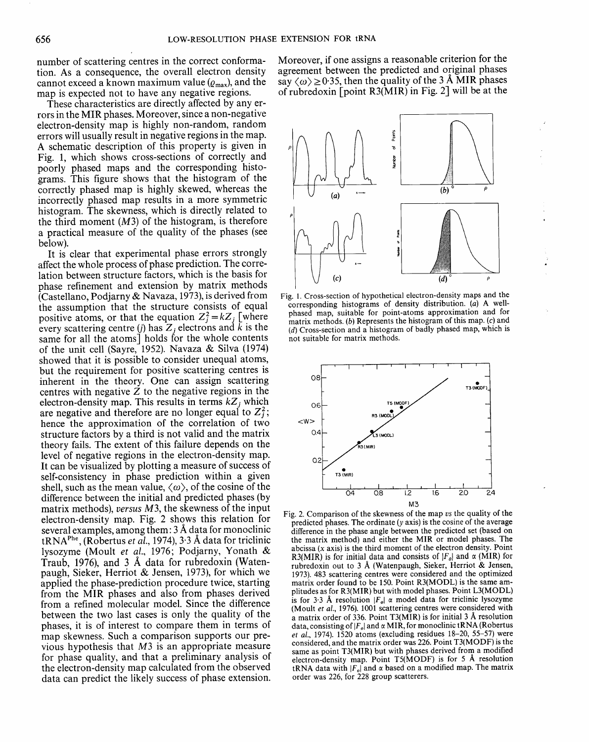number of scattering centres in the correct conformation. As a consequence, the overall electron density cannot exceed a known maximum value  $(\varrho_{\text{max}})$ , and the map is expected not to have any negative regions.

These characteristics are directly affected by any errors in the MIR phases. Moreover, since a non-negative electron-density map is highly non-random, random errors will usually result in negative regions in the map. A schematic description of this property is given in Fig. 1, which shows cross-sections of correctly and poorly phased maps and the corresponding histograms. This figure shows that the histogram of the correctly phased map is highly skewed, whereas the incorrectly phased map results in a more symmetric histogram. The skewness, which is directly related to the third moment  $(M3)$  of the histogram, is therefore a practical measure of the quality of the phases (see below).

It is clear that experimental phase errors strongly affect the whole process of phase prediction. The correlation between structure factors, which is the basis for phase refinement and extension by matrix methods (Castellano, Podjarny & Navaza, 1973), is derived from the assumption that the structure consists of equal positive atoms, or that the equation  $Z_j^2 = kZ_j$  [where every scattering centre (j) has  $Z_i$  electrons and k is the same for all the atoms] holds for the whole contents of the unit cell (Sayre, 1952). Navaza & Silva (1974) showed that it is possible to consider unequal atoms, but the requirement for positive scattering centres is inherent in the theory. One can assign scattering centres with negative  $\overline{Z}$  to the negative regions in the electron-density map. This results in terms  $kZ_i$  which are negative and therefore are no longer equal to  $Z_j^2$ ; hence the approximation of the correlation of two structure factors by a third is not valid and the matrix theory fails. The extent of this failure depends on the level of negative regions in the electron-density map. It can be visualized by plotting a measure of success of self-consistency in phase prediction within a given shell, such as the mean value,  $\langle \omega \rangle$ , of the cosine of the difference between the initial and predicted phases (by matrix methods), *versus M3,* the skewness of the input electron-density map. Fig. 2 shows this relation for several examples, among them:  $3 \text{ Å}$  data for monoclinic  $tRNA<sup>Phe</sup>$ , (Robertus *et al.*, 1974), 3.3 Å data for triclinic lysozyme (Moult *et al.,* 1976; Podjarny, Yonath & Traub, 1976), and  $3\text{ Å}$  data for rubredoxin (Watenpaugh, Sieker, Herriot & Jensen, 1973), for which we applied the phase-prediction procedure twice, starting from the MIR phases and also from phases derived from a refined molecular model. Since the difference between the two last cases is only the quality of the phases, it is of interest to compare them in terms of map skewness. Such a comparison supports our previous hypothesis that  $M3$  is an appropriate measure for phase quality, and that a preliminary analysis of the electron-density map calculated from the observed data can predict the likely success of phase extension.

Moreover, if one assigns a reasonable criterion for the agreement between the predicted and original phases say  $\langle \omega \rangle \ge 0.35$ , then the quality of the 3 Å MIR phases of rubredoxin [point R3(MIR) in Fig. 2] will be at the



Fig. 1. Cross-section of hypothetical electron-density maps and the corresponding histograms of density distribution. (a) A wellphased map, suitable for point-atoms approximation and for matrix methods. (b) Represents the histogram of this map. (c) and (d) Cross-section and a histogram of badly phased map, which is not suitable for matrix methods.



Fig. 2. Comparison of the skewness of the map *vs* the quality of the predicted phases. The ordinate (y axis) is the cosine of the average difference in the phase angle between the predicted set (based on the matrix method) and either the MIR or model phases. The abcissa  $(x \text{ axis})$  is the third moment of the electron density. Point R3(MIR) is for initial data and consists of  $|F_{\alpha}|$  and  $\alpha$  (MIR) for rubredoxin out to 3 A (Watenpaugh, Sieker, Herriot & Jensen, 1973). 483 scattering centres were considered and the optimized matrix order found to be 150. Point R3(MODL) is the same amplitudes as for R3(MIR) but with model phases. Point L3(MODL) is for 3.3 Å resolution  $|F_o| \propto$  model data for triclinic lysozyme (Moult *et al.,* 1976). 1001 scattering centres were considered with a matrix order of 336. Point T3(MIR) is for initial 3 A resolution data, consisting of  $|F_{o}|$  and  $\alpha$  MIR, for monoclinic tRNA (Robertus *et al.,* 1974). 1520 atoms (excluding residues 18-20, 55-57) were considered, and the matrix order was 226. Point T3(MODF) is the same as point T3(MIR) but with phases derived from a modified electron-density map. Point T5(MODF) is for 5 A resolution tRNA data with  $|F_o|$  and  $\alpha$  based on a modified map. The matrix order was 226, for 228 group scatterers.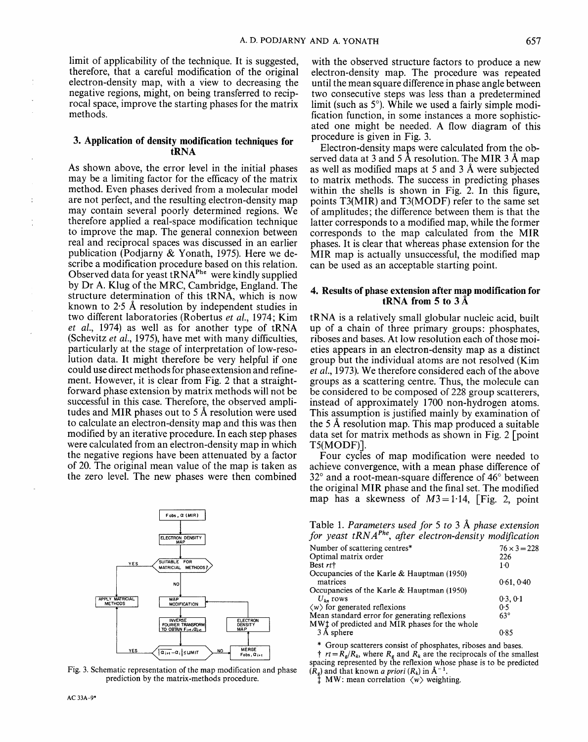**limit** of applicability of the technique. It is suggested, therefore, that a careful modification of the original electron-density map, with a view to decreasing the negative regions, might, on being transferred to reciprocal space, improve the starting phases for the matrix methods.

#### **3. Application of density modification techniques for tRNA**

As shown above, the error level in the initial phases may be a limiting factor for the efficacy of the matrix method. Even phases derived from a molecular model are not perfect, and the resulting electron-density map may contain several poorly determined regions. We therefore applied a real-space modification technique to improve the map. The general connexion between real and reciprocal spaces was discussed in an earlier publication (Podjarny & Yonath, 1975). Here we describe a modification procedure based on this relation. Observed data for yeast  $tRNA<sup>Phe</sup>$  were kindly supplied by Dr A. Klug of the MRC, Cambridge, England. The structure determination of this tRNA, which is now known to  $2.5$  Å resolution by independent studies in two different laboratories (Robertus *et al.,* 1974; Kim *et al.,* 1974) as well as for another type of tRNA (Schevitz *et al.,* 1975), have met with many difficulties, particularly at the stage of interpretation of low-resolution data. It might therefore be very helpful if one could use direct methods for phase extension and refinement. However, it is clear from Fig. 2 that a straightforward phase extension by matrix methods will not be successful in this case. Therefore, the observed amplitudes and MIR phases out to 5 A resolution were used to calculate an electron-density map and this was then modified by an iterative procedure. In each step phases were calculated from an electron-density map in which the negative regions have been attenuated by a factor of 20. The original mean value of the map is taken as the zero level. The new phases were then combined



Fig. 3. Schematic representation of the map modification and phase prediction by the matrix-methods procedure.

with the observed structure factors to produce a new electron-density map. The procedure was repeated until the mean square difference in phase angle between two consecutive steps was less than a predetermined **limit** (such as 5°). While we used a fairly simple modification function, in some instances a more sophisticated one might be needed. A flow diagram of this procedure is given in Fig. 3.

Electron-density maps were calculated from the observed data at 3 and 5 A resolution. The MIR 3 A map as well as modified maps at 5 and 3 A were subjected to matrix methods. The success in predicting phases within the shells is shown in Fig. 2. In this figure, points T3(MIR) and T3(MODF) refer to the same set of amplitudes; the difference between them is that the latter corresponds to a modified map, while the former corresponds to the map calculated from the MIR phases. It is clear that whereas phase extension for the MIR map is actually unsuccessful, the modified map can be used as an acceptable starting point.

## **4. Results of phase extension after map modification for tRNA from 5 to 3 A**

tRNA is a relatively small globular nucleic acid, built up of a chain of three primary groups: phosphates, riboses and bases. At low resolution each of those moieties appears in an electron-density map as a distinct group but the individual atoms are not resolved (Kim *et al.,* 1973). We therefore considered each of the above groups as a scattering centre. Thus, the molecule can be considered to be composed of 228 group scatterers, instead of approximately 1700 non-hydrogen atoms. This assumption is justified mainly by examination of the 5 A~ resolution map. This map produced a suitable data set for matrix methods as shown in Fig. 2 [point T5(MODF)].

Four cycles of map modification were needed to achieve convergence, with a mean phase difference of  $32^{\circ}$  and a root-mean-square difference of 46 $^{\circ}$  between the original MIR phase and the final set. The modified map has a skewness of  $M3=1.14$ , [Fig. 2, point

Table 1. *Parameters used for 5 to 3 A phase extension*  for yeast tRNA<sup>Phe</sup>, after electron-density modification

| Number of scattering centres*                                            | $76 \times 3 = 228$ |
|--------------------------------------------------------------------------|---------------------|
| Optimal matrix order                                                     | 226                 |
| Best rt†                                                                 | $1-0$               |
| Occupancies of the Karle & Hauptman (1950)                               |                     |
| matrices                                                                 | 0.61, 0.40          |
| Occupancies of the Karle & Hauptman (1950)                               |                     |
| $U_{\nu}$ rows                                                           | 0.3, 0.1            |
| $\langle w \rangle$ for generated reflexions                             | 0.5                 |
| Mean standard error for generating reflexions                            | $63^\circ$          |
| MW <sup><math>\pm</math></sup> of predicted and MIR phases for the whole |                     |
| 3 Å sphere                                                               | 0.85                |
|                                                                          |                     |

\* Group scatterers consist of phosphates, riboses and bases. *t*  $rt = R_g/R_k$ , where  $R_g$  and  $R_k$  are the reciprocals of the smallest spacing represented by the reflexion whose phase is to be predicted  $(R_g)$  and that known *a priori*  $(R_k)$  in  $\AA^{-1}$ .

 $\texttt{M}$  MW: mean correlation  $\langle w \rangle$  weighting.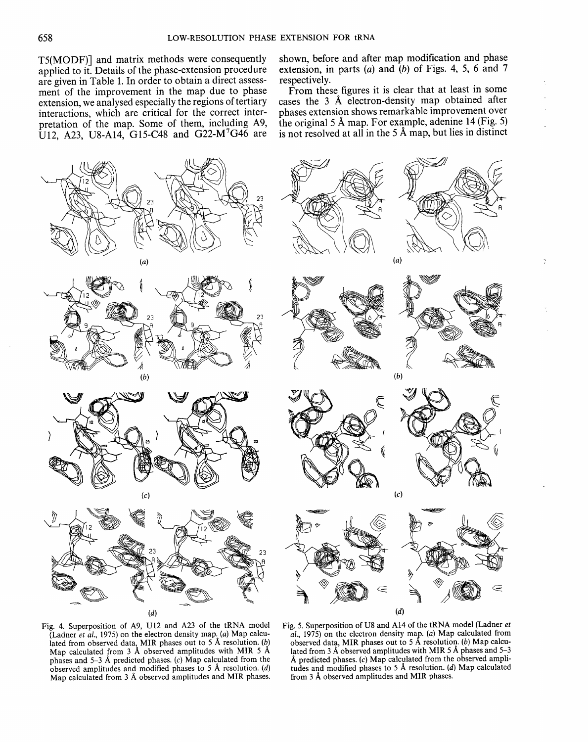T5(MODF)] and matrix methods were consequently applied to it. Details of the phase-extension procedure are given in Table 1. In order to obtain a direct assessment of the improvement in the map due to phase extension, we analysed especially the regions of tertiary interactions, which are critical for the correct interpretation of the map. Some of them, including A9, U12, A23, U8-A14, G15-C48 and G22-M<sup>7</sup>G46 are shown, before and after map modification and phase extension, in parts  $(a)$  and  $(b)$  of Figs. 4, 5, 6 and 7 respectively.

From these figures it is clear that at least in some cases the 3 A electron-density map obtained after phases extension shows remarkable improvement over the original 5 A map. For example, adenine 14 (Fig. 5) is not resolved at all in the 5 A map, but lies in distinct



Fig. 4. Superposition of A9, U12 and A23 of the tRNA model (Ladner *et al.,* 1975) on the electron density map. (a) Map calculated from observed data, MIR phases out to 5 A resolution. (b) Map calculated from 3 Å observed amplitudes with MIR 5 Å phases and 5-3 A predicted phases. (c) Map calculated from the observed amplitudes and modified phases to 5 A resolution. (d) Map calculated from 3 A observed amplitudes and MIR phases.

Fig. 5. Superposition of U8 and A14 of the tRNA model (Ladner *et al.,* 1975) on the electron density map. (a) Map calculated from observed data, MIR phases out to 5 A resolution. (b) Map calculated from 3  $A$  observed amplitudes with MIR 5  $A$  phases and 5-3 A predicted phases. (c) Map calculated from the observed amplitudes and modified phases to 5 A resolution. (d) Map calculated from 3 Å observed amplitudes and MIR phases.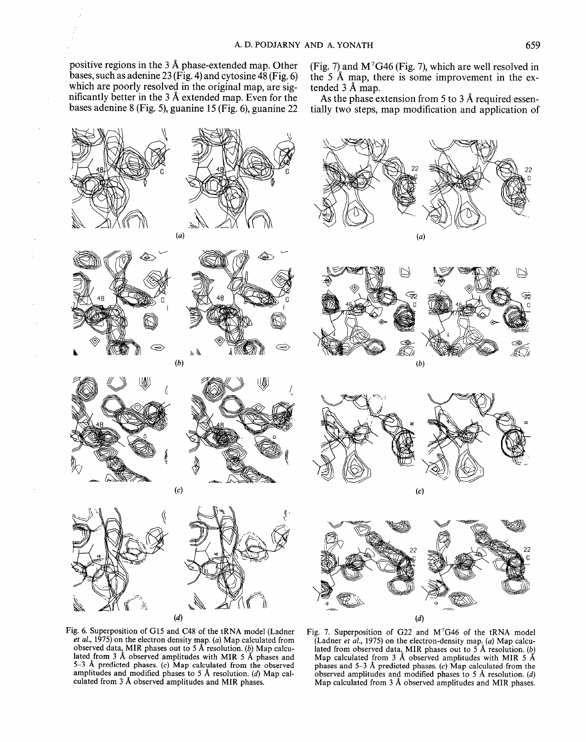positive regions in the 3 A phase-extended map. Other bases, such as adenine 23 (Fig. 4) and cytosine  $48$  (Fig. 6) which are poorly resolved in the original map, are significantly better in the 3 A extended map. Even for the bases adenine 8 (Fig. 5), guanine 15 (Fig. 6), guanine 22

(Fig. 7) and  $M<sup>7</sup>G46$  (Fig. 7), which are well resolved in the 5 A map, there is some improvement in the extended 3 A map.

As the phase extension from 5 to 3 Å required essentially two steps, map modification and application of



Fig. 6. Superposition of G15 and C48 of the tRNA model (Ladner *et al.,* 1975) on the electron density map. (a) Map calculated from observed data, MIR phases out to 5 Å resolution. (b) Map calculated from 3 A observed amplitudes with MIR 5 A phases and 5-3 A predicted phases. (c) Map calculated from the observed amplitudes and modified phases to 5 A resolution. (d) Map calculated from 3 A observed amplitudes and MIR phases.

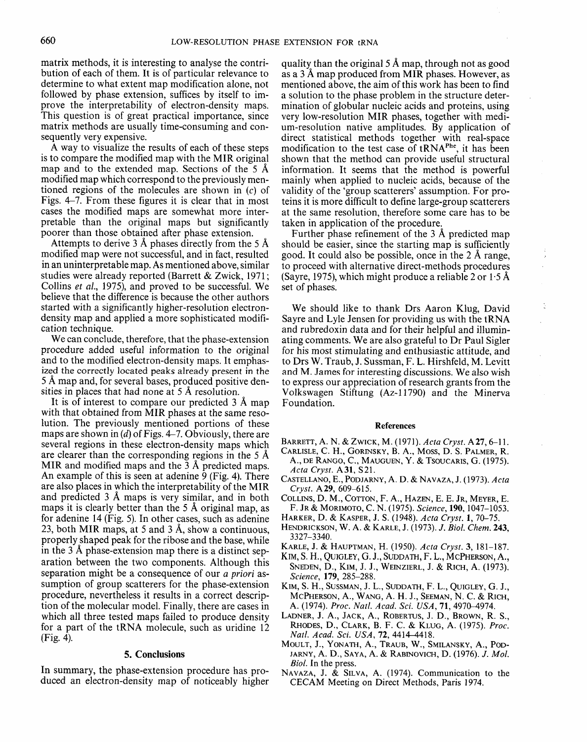matrix methods, it is interesting to analyse the contribution of each of them. It is of particular relevance to determine to what extent map modification alone, not followed by phase extension, suffices by itself to improve the interpretability of electron-density maps. This question is of great practical importance, since matrix methods are usually time-consuming and consequently very expensive.

A way to visualize the results of each of these steps is to compare the modified map with the MIR original map and to the extended map. Sections of the  $5 \text{ Å}$ modified map which correspond to the previously mentioned regions of the molecules are shown in (c) of Figs. 4-7. From these figures it is clear that in most cases the modified maps are somewhat more interpretable than the original maps but significantly poorer than those obtained after phase extension.

Attempts to derive 3 Å phases directly from the 5 Å modified map were not successful, and in fact, resulted in an uninterpretable map. As mentioned above, similar studies were already reported (Barrett & Zwick, 1971; Collins *et al.,* 1975), and proved to be successful. We believe that the difference is because the other authors started with a significantly higher-resolution electrondensity map and applied a more sophisticated modification technique.

We can conclude, therefore, that the phase-extension procedure added useful information to the original and to the modified electron-density maps. It emphasized the correctly located peaks already present in the 5 A map and, for several bases, produced positive densities in places that had none at  $5 \text{ Å}$  resolution.

It is of interest to compare our predicted 3 A map with that obtained from MIR phases at the same resolution. The previously mentioned portions of these maps are shown in (d) of Figs. 4-7. Obviously, there are several regions in these electron-density maps which are clearer than the corresponding regions in the 5  $\AA$ MIR and modified maps and the  $3~\text{\AA}$  predicted maps. An example of this is seen at adenine 9 (Fig. 4). There are also places in which the interpretability of the MIR and predicted 3 A maps is very similar, and in both maps it is clearly better than the 5 A original map, as for adenine 14 (Fig. 5). In other cases, such as adenine 23, both MIR maps, at 5 and 3  $\AA$ , show a continuous, properly shaped peak for the ribose and the base, while in the 3 A phase-extension map there is a distinct separation between the two components. Although this separation might be a consequence of our *a priori* assumption of group scatterers for the phase-extension procedure, nevertheless it results in a correct description of the molecular model. Finally, there are cases in which all three tested maps failed to produce density for a part of the tRNA molecule, such as uridine 12 (Fig. 4).

#### **5. Conclusions**

In summary, the phase-extension procedure has produced an electron-density map of noticeably higher

quality than the original 5 Å map, through not as good as a 3 A map produced from MIR phases. However, as mentioned above, the aim of this work has been to find a solution to the phase problem in the structure determination of globular nucleic acids and proteins, using very low-resolution MIR phases, together with medium-resolution native amplitudes. By application of direct statistical methods together with real-space modification to the test case of  $tRNA<sup>Pre</sup>$ , it has been shown that the method can provide useful structural information. It seems that the method is powerful mainly when applied to nucleic acids, because of the validity of the 'group scatterers' assumption. For proteins it is more difficult to define large-group scatterers at the same resolution, therefore some care has to be taken in application of the procedure.

Further phase refinement of the 3 A predicted map should be easier, since the starting map is sufficiently good. It could also be possible, once in the 2 A range, to proceed with alternative direct-methods procedures (Sayre, 1975), which might produce a reliable 2 or 1.5 Å set of phases.

ċ

We should like to thank Drs Aaron Klug, David Sayre and Lyle Jensen for providing us with the tRNA and rubredoxin data and for their helpful and illuminating comments. We are also grateful to Dr Paul Sigler for his most stimulating and enthusiastic attitude, and to Drs W. Traub, J. Sussman, F. L. Hirshfeld, M. Levitt and M. James for interesting discussions. We also wish to express our appreciation of research grants from the Volkswagen Stiftung (Az-l1790) and the Minerva Foundation.

#### **References**

- BARRETT, A. N. & ZWICK, M. (1971). *Acta Cryst.* A27, 6-11.
- CARLISLE, C. H., GORINSKY, B. A., Moss, D. S. PALMER, R. A., DE RANGO, C,, MAUGUEN, Y. & TSOUCARIS, G. (1975). *Acta Cryst.* A31, \$21.
- CASTELLANO, E., PODJARNY, A. D. t~ NAVAZA, J. (1973). *Acta Cryst.* A 29, 609-615.
- COLLINS, D. M., COTTON, F. A., HAZEN, E. E. JR, MEYER, E. F. JR & MORIMOTO, C. N. (1975). *Science,* 190, 1047-1053.
- HARKER, D. KASPER, J. S. (1948). *Acta Cryst.* l, 70-75.
- HENDRICKSON, W. A. & KARLE, J. (1973). *J. Biol. Chem.* 243, 3327-3340.
- KARLE, J. & HAUPTMAN, H. (1950). *Acta Cryst.* 3, 181-187.
- KIM, S. H., QUIGLEY, O. J., SUDDATH, F. L., MCPHERSON, A.,
- SNEDEN, D., KIM, J. J., WEINZIERL, J. & RICH, A. (1973). *Science,* 179, 285-288.
- KIM, S. H., SUSSMAN, J. L., SUDDATH, F. L., QUIGLEY, G. J., MCPHERSON, A., WANG, A. H. J., SEEMAN, N. C. & RICH, A. (1974). *Proc. Natl. Acad. Sci. USA,* **71,** 4970-4974.
- LADNER, J. A., JACK, A., ROBERTUS, J. D., BROWN, R. S., RHODES, D., CLARK, B. F. C. & KLUG, A. (1975). *Proc. Natl. Acad. Sci. USA,* 72, 4414-4418.
- MOULT, J., YONATH, A., TRAUB, W., SMILANSKY, A., POD-JARNY, A. D., SAYA, A. & RABINOVICH, D. (1976). *J. Mol. Biol.* In the press.
- NAVAZA, J. & SILVA, A. (1974). Communication to the CECAM Meeting on Direct Methods, Paris 1974.